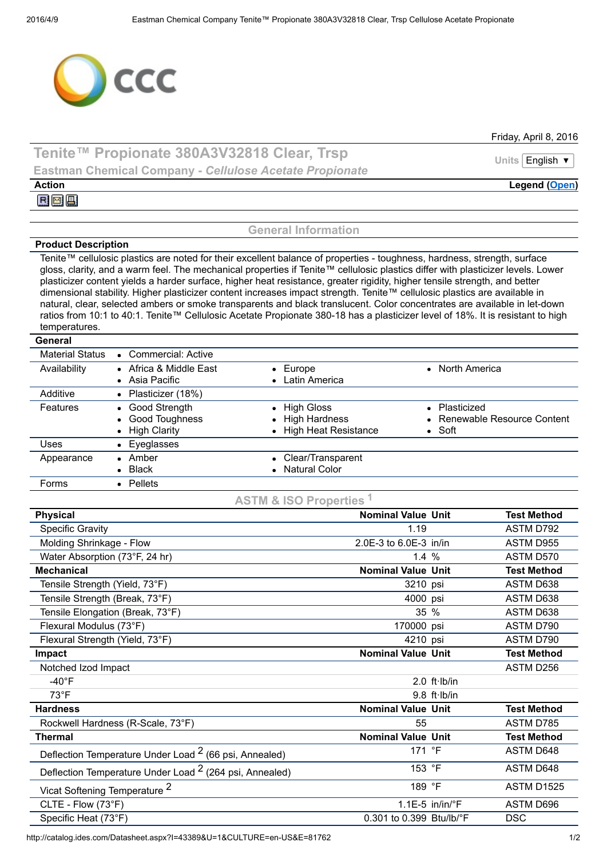

Friday, April 8, 2016

## Tenite™ Propionate 380A3V32818 Clear, Trsp Units English v Eastman Chemical Company *Cellulose Acetate Propionate*

Action Legend [\(Open\)](javascript:__doPostBack()

屈國国

## General Information

## Product Description

Tenite™ cellulosic plastics are noted for their excellent balance of properties - toughness, hardness, strength, surface gloss, clarity, and a warm feel. The mechanical properties if Tenite™ cellulosic plastics differ with plasticizer levels. Lower plasticizer content yields a harder surface, higher heat resistance, greater rigidity, higher tensile strength, and better dimensional stability. Higher plasticizer content increases impact strength. Tenite™ cellulosic plastics are available in natural, clear, selected ambers or smoke transparents and black translucent. Color concentrates are available in let-down ratios from 10:1 to 40:1. Tenite™ Cellulosic Acetate Propionate 380-18 has a plasticizer level of 18%. It is resistant to high temperatures.

**General** 

| <b>Material Status</b> | • Commercial: Active                                  |                                                           |                                                                 |
|------------------------|-------------------------------------------------------|-----------------------------------------------------------|-----------------------------------------------------------------|
| Availability           | • Africa & Middle East<br>• Asia Pacific              | $\bullet$ Europe<br>• Latin America                       | • North America                                                 |
| Additive               | • Plasticizer (18%)                                   |                                                           |                                                                 |
| Features               | • Good Strength<br>• Good Toughness<br>• High Clarity | • High Gloss<br>• High Hardness<br>• High Heat Resistance | • Plasticized<br>• Renewable Resource Content<br>$\bullet$ Soft |
| Uses                   | • Eyeglasses                                          |                                                           |                                                                 |
| Appearance             | $\bullet$ Amber<br>$\bullet$ Black                    | • Clear/Transparent<br>• Natural Color                    |                                                                 |
| <b>Forms</b>           | • Pellets                                             |                                                           |                                                                 |

ASTM & ISO Properties <sup>1</sup>

| <b>Physical</b>                                                    | <b>Nominal Value Unit</b> |                             | <b>Test Method</b> |
|--------------------------------------------------------------------|---------------------------|-----------------------------|--------------------|
| <b>Specific Gravity</b>                                            | 1.19                      |                             | ASTM D792          |
| Molding Shrinkage - Flow                                           | 2.0E-3 to 6.0E-3 in/in    |                             | ASTM D955          |
| Water Absorption (73°F, 24 hr)                                     | 1.4%                      |                             | ASTM D570          |
| <b>Mechanical</b>                                                  | <b>Nominal Value Unit</b> |                             | <b>Test Method</b> |
| Tensile Strength (Yield, 73°F)                                     | 3210 psi                  |                             | ASTM D638          |
| Tensile Strength (Break, 73°F)                                     | 4000 psi                  |                             | ASTM D638          |
| Tensile Elongation (Break, 73°F)                                   | 35 %                      |                             | ASTM D638          |
| Flexural Modulus (73°F)                                            | 170000 psi                |                             | ASTM D790          |
| Flexural Strength (Yield, 73°F)                                    | 4210 psi                  |                             | ASTM D790          |
| Impact                                                             | <b>Nominal Value Unit</b> |                             | <b>Test Method</b> |
| Notched Izod Impact                                                |                           |                             | ASTM D256          |
| $-40^{\circ}$ F                                                    |                           | $2.0$ ft $\cdot$ lb/in      |                    |
| $73^{\circ}F$                                                      |                           | $9.8$ ft Ib/in              |                    |
| <b>Hardness</b>                                                    | <b>Nominal Value Unit</b> |                             | <b>Test Method</b> |
| Rockwell Hardness (R-Scale, 73°F)                                  | 55                        |                             | ASTM D785          |
| <b>Thermal</b>                                                     | <b>Nominal Value Unit</b> |                             | <b>Test Method</b> |
| Deflection Temperature Under Load <sup>2</sup> (66 psi, Annealed)  | 171 $\degree$ F           |                             | ASTM D648          |
| Deflection Temperature Under Load <sup>2</sup> (264 psi, Annealed) | 153 °F                    |                             | ASTM D648          |
| Vicat Softening Temperature <sup>2</sup>                           | 189 °F                    |                             | ASTM D1525         |
| CLTE - Flow (73°F)                                                 |                           | $1.1E-5$ in/in/ $\degree$ F | ASTM D696          |
| Specific Heat (73°F)                                               | 0.301 to 0.399 Btu/lb/°F  |                             | <b>DSC</b>         |

http://catalog.ides.com/Datasheet.aspx?I=43389&U=1&CULTURE=en-US&E=81762 1/2